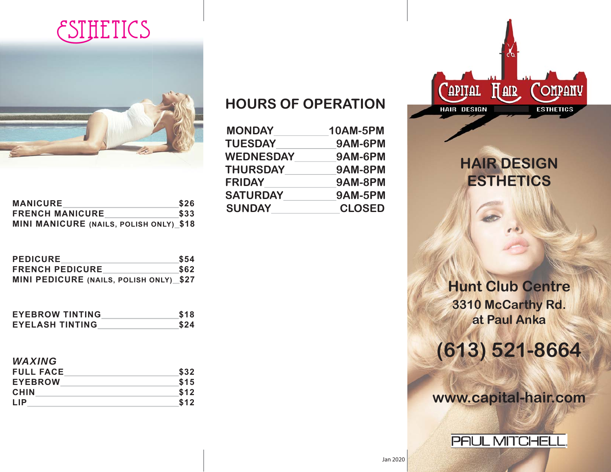## **ESTHETICS**



| <b>MANICURE</b>                                | \$26 |
|------------------------------------------------|------|
| <b>FRENCH MANICURE</b>                         | \$33 |
| <b>MINI MANICURE (NAILS, POLISH ONLY)_\$18</b> |      |

| <b>PEDICURE</b>                         | <b>S54</b> |
|-----------------------------------------|------------|
| <b>FRENCH PEDICURE</b>                  | \$62       |
| MINI PEDICURE (NAILS, POLISH ONLY)_\$27 |            |

| <b>EYEBROW TINTING</b> | \$18 |
|------------------------|------|
| <b>EYELASH TINTING</b> | \$24 |

## *WAXING*

| <b>FULL FACE</b> | \$32 |
|------------------|------|
| <b>EYEBROW</b>   | \$15 |
| <b>CHIN</b>      | \$12 |
| <b>LIP</b>       | \$12 |

## **HOURS OF OPERATION**

| <b>MONDAY</b>    | <b>10AM-5PM</b> |
|------------------|-----------------|
| <b>TUESDAY</b>   | 9AM-6PM         |
| <b>WEDNESDAY</b> | 9AM-6PM         |
| <b>THURSDAY</b>  | 9AM-8PM         |
| <b>FRIDAY</b>    | 9AM-8PM         |
| <b>SATURDAY</b>  | 9AM-5PM         |
| <b>SUNDAY</b>    | <b>CLOSED</b>   |



**HAIR DESIGN ESTHETICS**

**Hunt Club Centre 3310 McCarthy Rd. at Paul Anka**

**(613) 521-8664**

**www.capital-hair.com**